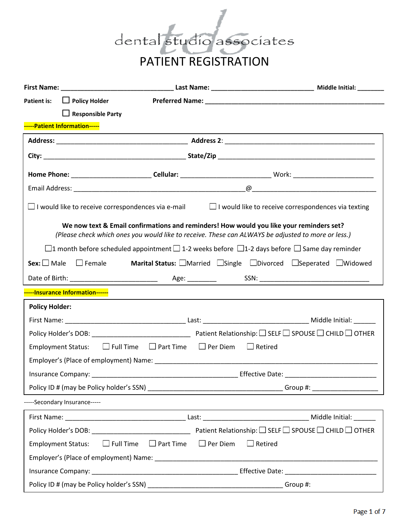

| $\Box$ Policy Holder<br><b>Patient is:</b> |                                                                                                                                                                                               |  |                |                                                                       |
|--------------------------------------------|-----------------------------------------------------------------------------------------------------------------------------------------------------------------------------------------------|--|----------------|-----------------------------------------------------------------------|
| $\Box$ Responsible Party                   |                                                                                                                                                                                               |  |                |                                                                       |
| -----Patient Information-----              |                                                                                                                                                                                               |  |                |                                                                       |
|                                            |                                                                                                                                                                                               |  |                |                                                                       |
|                                            |                                                                                                                                                                                               |  |                |                                                                       |
|                                            |                                                                                                                                                                                               |  |                |                                                                       |
|                                            |                                                                                                                                                                                               |  |                |                                                                       |
|                                            | $\Box$ I would like to receive correspondences via e-mail                                                                                                                                     |  |                | $\Box$ I would like to receive correspondences via texting            |
|                                            | We now text & Email confirmations and reminders! How would you like your reminders set?<br>(Please check which ones you would like to receive. These can ALWAYS be adjusted to more or less.) |  |                |                                                                       |
|                                            | $\Box$ 1 month before scheduled appointment $\Box$ 1-2 weeks before $\Box$ 1-2 days before $\Box$ Same day reminder                                                                           |  |                |                                                                       |
| $Sex:$ Male<br>$\square$ Female            |                                                                                                                                                                                               |  |                | <b>Marital Status:</b> □Married □Single □Divorced □Seperated □Widowed |
|                                            |                                                                                                                                                                                               |  |                |                                                                       |
| -----Insurance Information------           |                                                                                                                                                                                               |  |                |                                                                       |
| <b>Policy Holder:</b>                      |                                                                                                                                                                                               |  |                |                                                                       |
|                                            |                                                                                                                                                                                               |  |                |                                                                       |
|                                            |                                                                                                                                                                                               |  |                |                                                                       |
| <b>Employment Status:</b>                  | $\Box$ Full Time $\Box$ Part Time $\Box$ Per Diem                                                                                                                                             |  | $\Box$ Retired |                                                                       |
|                                            |                                                                                                                                                                                               |  |                |                                                                       |
|                                            |                                                                                                                                                                                               |  |                |                                                                       |
|                                            |                                                                                                                                                                                               |  |                |                                                                       |
| -----Secondary Insurance-----              |                                                                                                                                                                                               |  |                |                                                                       |
|                                            |                                                                                                                                                                                               |  |                |                                                                       |
|                                            |                                                                                                                                                                                               |  |                |                                                                       |
| <b>Employment Status:</b>                  | $\Box$ Full Time $\Box$ Part Time $\Box$ Per Diem                                                                                                                                             |  | $\Box$ Retired |                                                                       |
|                                            |                                                                                                                                                                                               |  |                |                                                                       |
|                                            |                                                                                                                                                                                               |  |                |                                                                       |
|                                            |                                                                                                                                                                                               |  |                | Group #:                                                              |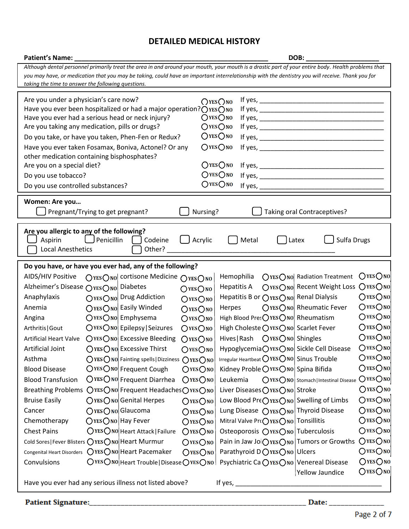# **DETAILED MEDICAL HISTORY**

| Patient's Name: Names                                                                                                                               |                                                                                                               | DOB:             |  |
|-----------------------------------------------------------------------------------------------------------------------------------------------------|---------------------------------------------------------------------------------------------------------------|------------------|--|
| Although dental personnel primarily treat the area in and around your mouth, your mouth is a drastic part of your entire body. Health problems that |                                                                                                               |                  |  |
| you may have, or medication that you may be taking, could have an important interrelationship with the dentistry you will receive. Thank you for    |                                                                                                               |                  |  |
| taking the time to answer the following questions.                                                                                                  |                                                                                                               |                  |  |
| Are you under a physician's care now?                                                                                                               | $OYES$ NO                                                                                                     |                  |  |
| Have you ever been hospitalized or had a major operation? $\bigcirc$ yes $\bigcirc$ no                                                              |                                                                                                               |                  |  |
| Have you ever had a serious head or neck injury?                                                                                                    | OYES ONO                                                                                                      |                  |  |
| $OYES$ No<br>Are you taking any medication, pills or drugs?                                                                                         |                                                                                                               |                  |  |
| Do you take, or have you taken, Phen-Fen or Redux?                                                                                                  | $O$ YES $O$ NO                                                                                                |                  |  |
| Have you ever taken Fosamax, Boniva, Actonel? Or any                                                                                                | $OYES$ No                                                                                                     |                  |  |
| other medication containing bisphosphates?                                                                                                          | OYES ONO                                                                                                      |                  |  |
| Are you on a special diet?                                                                                                                          | $O$ YES $O$ NO                                                                                                |                  |  |
| Do you use tobacco?                                                                                                                                 | $O$ yes $O$ no                                                                                                |                  |  |
| Do you use controlled substances?                                                                                                                   |                                                                                                               |                  |  |
| Women: Are you                                                                                                                                      |                                                                                                               |                  |  |
| Pregnant/Trying to get pregnant?                                                                                                                    | Nursing?<br>Taking oral Contraceptives?                                                                       |                  |  |
|                                                                                                                                                     |                                                                                                               |                  |  |
| Are you allergic to any of the following?                                                                                                           |                                                                                                               |                  |  |
| $\bigcup$ Penicillin<br>Aspirin                                                                                                                     | Codeine<br>Acrylic<br>Metal<br>Latex                                                                          | Sulfa Drugs      |  |
| <b>Local Anesthetics</b>                                                                                                                            | Other?                                                                                                        |                  |  |
| Do you have, or have you ever had, any of the following?                                                                                            |                                                                                                               |                  |  |
| AIDS/HIV Positive<br>OYES ONO cortisone Medicine                                                                                                    | Hemophilia<br>○YES ONO Radiation Treatment<br>OYESONO                                                         | $Q$ yes $Q$ no   |  |
| Alzheimer's Disease OYESONO Diabetes                                                                                                                | OYES ONO Recent Weight Loss<br><b>Hepatitis A</b><br>$O$ YES $O$ NO                                           | OYES ONO         |  |
| ○YES ONO Drug Addiction<br>Anaphylaxis                                                                                                              | Hepatitis B or ○YES○NO Renal Dialysis<br>$O$ YES $O$ NO                                                       | $O$ YES $O$ NO   |  |
| OYES ONO Easily Winded<br>Anemia                                                                                                                    | ○YES ONO Rheumatic Fever<br>Herpes<br>$O$ YES $O$ NO                                                          | OYES ONO         |  |
| $Q$ YES $Q$ NO Emphysema<br>Angina                                                                                                                  | High Blood Pres OYES ONO Rheumatism<br>OYES ONO                                                               | $O$ YES $O$ NO   |  |
| $Q$ YES $Q$ NO Epilepsy Seizures<br>Arthritis   Gout                                                                                                | High Choleste OYES ONO Scarlet Fever<br>O <sub>YES</sub>                                                      | $Q$ YES $Q$ NO   |  |
| ○YES ONO Excessive Bleeding<br><b>Artificial Heart Valve</b>                                                                                        | OYESONO                                                                                                       | OYES ONO         |  |
| OYES ONO Excessive Thirst<br>Artificial Joint                                                                                                       | Hypoglycemia OYES ONO Sickle Cell Disease<br>$O$ YES $O$ NO                                                   | $O$ YES $O$ NO   |  |
| Asthma                                                                                                                                              | Irregular Heartbeat $O$ YES $O$ NO Sinus Trouble<br>$O$ YES $O$ NO Fainting spells   Dizziness $O$ YES $O$ NO | $O$ YES $O$ NO   |  |
| $O$ YESONO Frequent Cough<br><b>Blood Disease</b>                                                                                                   | Kidney Proble OYES ONO Spina Bifida<br>$O$ YES $O$ NO                                                         | $O$ YES $O$ NO   |  |
| OYES ONO Frequent Diarrhea<br><b>Blood Transfusion</b>                                                                                              | $OYES$ O <sub>NO</sub><br>Leukemia<br>○YES ONO Stomach   Intestinal Disease                                   | OYES ONO         |  |
| Breathing Problems OYESONO Frequent HeadachesOYESONO                                                                                                | Liver Diseases OYES ONO Stroke                                                                                | $Q$ yes $Q$ no   |  |
| ○YES ONO Genital Herpes<br><b>Bruise Easily</b>                                                                                                     | Low Blood Pre $O$ YES $O$ No Swelling of Limbs<br>$O$ YES $O$ NO                                              | $O$ YES $O$ NO   |  |
| OYES ONO Glaucoma<br>Cancer                                                                                                                         | Lung Disease $O$ YES $O$ NO Thyroid Disease<br>$O$ YES $O$ NO                                                 | $O$ YES $O$ NO   |  |
| $Q$ YES $Q$ NO Hay Fever<br>Chemotherapy                                                                                                            | Mitral Valve Pr(OYESONO Tonsillitis<br>$O$ YES $O$ NO                                                         | $O$ YES $O$ NO   |  |
| OYES ONO Heart Attack   Failure<br><b>Chest Pains</b>                                                                                               | OYESONO<br>Osteoporosis OYES ONO Tuberculosis                                                                 | $Q$ YES $Q$ NO   |  |
| Cold Sores   Fever Blisters OYES ONO   Heart Murmur                                                                                                 | Pain in Jaw Joi $O$ YES $O$ No Tumors or Growths<br>$O$ YES $O$ NO                                            | O <sub>YES</sub> |  |
| Congenital Heart Disorders OYESONO Heart Pacemaker                                                                                                  | Parathyroid D OYES ONO Ulcers<br>$O$ YES $O$ NO                                                               | $Q$ yes $Q$ no   |  |
| Convulsions                                                                                                                                         | OYESONO Heart Trouble   Disease OYESONO   Psychiatric CaiOYESONO Venereal Disease                             | $O$ YES $O$ NO   |  |
|                                                                                                                                                     |                                                                                                               | $Q$ yes $Q$ no   |  |
| Yellow Jaundice<br>Have you ever had any serious illness not listed above?<br>If yes, $_{-}$                                                        |                                                                                                               |                  |  |
|                                                                                                                                                     |                                                                                                               |                  |  |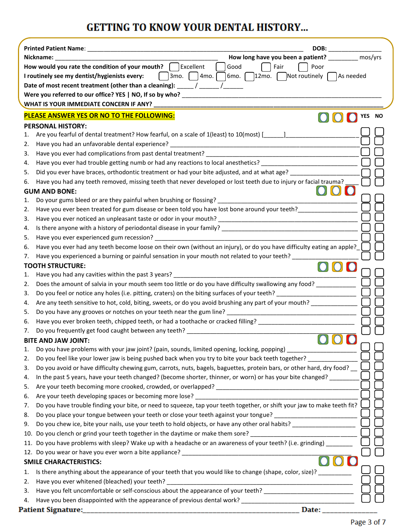# **GETTING TO KNOW YOUR DENTAL HISTORY...**

|                                                                                                                                                                                                                                        | DOB: _________                                       |  |  |
|----------------------------------------------------------------------------------------------------------------------------------------------------------------------------------------------------------------------------------------|------------------------------------------------------|--|--|
| Nickname:                                                                                                                                                                                                                              | How long have you been a patient? __________ mos/yrs |  |  |
| How would you rate the condition of your mouth? $\Box$ Excellent                                                                                                                                                                       | Good<br>Fair<br>Poor                                 |  |  |
| $\lceil$ 3mo. $\lceil$ 4mo. $\lceil$<br>$\lceil 6 \text{mo.} \rceil$ 2mo. $\lceil \cdot \rceil$ Not routinely $\lceil \cdot \rceil$ As needed<br>I routinely see my dentist/hygienists every:                                          |                                                      |  |  |
| Date of most recent treatment (other than a cleaning): ____/ _____/ ______                                                                                                                                                             |                                                      |  |  |
|                                                                                                                                                                                                                                        |                                                      |  |  |
|                                                                                                                                                                                                                                        |                                                      |  |  |
| PLEASE ANSWER YES OR NO TO THE FOLLOWING:                                                                                                                                                                                              | <b>YES</b><br><b>NO</b>                              |  |  |
| <b>PERSONAL HISTORY:</b>                                                                                                                                                                                                               |                                                      |  |  |
| Are you fearful of dental treatment? How fearful, on a scale of 1(least) to 10(most) [166] Are you fear that the state of 1(least) has a set of the state of the state of the state of the state of the state of the state of<br>1.    |                                                      |  |  |
| 2.                                                                                                                                                                                                                                     |                                                      |  |  |
| 3.                                                                                                                                                                                                                                     |                                                      |  |  |
| Have you ever had trouble getting numb or had any reactions to local anesthetics?<br>4.                                                                                                                                                |                                                      |  |  |
| Did you ever have braces, orthodontic treatment or had your bite adjusted, and at what age?<br>5.                                                                                                                                      |                                                      |  |  |
| Have you had any teeth removed, missing teeth that never developed or lost teeth due to injury or facial trauma?<br>6.                                                                                                                 |                                                      |  |  |
| <b>GUM AND BONE:</b>                                                                                                                                                                                                                   |                                                      |  |  |
| 1.                                                                                                                                                                                                                                     |                                                      |  |  |
| Have you ever been treated for gum disease or been told you have lost bone around your teeth?<br>2.                                                                                                                                    |                                                      |  |  |
| 3.                                                                                                                                                                                                                                     |                                                      |  |  |
| 4.                                                                                                                                                                                                                                     |                                                      |  |  |
| 5.                                                                                                                                                                                                                                     |                                                      |  |  |
| Have you ever had any teeth become loose on their own (without an injury), or do you have difficulty eating an apple?<br>6.                                                                                                            |                                                      |  |  |
| Have you experienced a burning or painful sensation in your mouth not related to your teeth?<br>7.                                                                                                                                     |                                                      |  |  |
| <b>TOOTH STRUCTURE:</b>                                                                                                                                                                                                                |                                                      |  |  |
| Have you had any cavities within the past 3 years? _____________________________<br>1.                                                                                                                                                 |                                                      |  |  |
| Does the amount of salvia in your mouth seem too little or do you have difficulty swallowing any food?<br>2.                                                                                                                           |                                                      |  |  |
| 3.                                                                                                                                                                                                                                     |                                                      |  |  |
| Are any teeth sensitive to hot, cold, biting, sweets, or do you avoid brushing any part of your mouth?<br>4.                                                                                                                           |                                                      |  |  |
| Do you have any grooves or notches on your teeth near the gum line?<br>The same streaments are all the streaments of the strength of the streaments of the streaments of the strength of the streaments of the streaments of the<br>5. |                                                      |  |  |
| Have you ever broken teeth, chipped teeth, or had a toothache or cracked filling? ____________________________<br>6.                                                                                                                   |                                                      |  |  |
| 7.                                                                                                                                                                                                                                     |                                                      |  |  |
| <b>BITE AND JAW JOINT:</b>                                                                                                                                                                                                             | $\cup$ $\cup$ $\cup$                                 |  |  |
| Do you have problems with your jaw joint? (pain, sounds, limited opening, locking, popping)<br>1.                                                                                                                                      |                                                      |  |  |
| Do you feel like your lower jaw is being pushed back when you try to bite your back teeth together?<br>2.                                                                                                                              |                                                      |  |  |
| Do you avoid or have difficulty chewing gum, carrots, nuts, bagels, baguettes, protein bars, or other hard, dry food?<br>3.                                                                                                            |                                                      |  |  |
| In the past 5 years, have your teeth changed? (become shorter, thinner, or worn) or has your bite changed?<br>4.                                                                                                                       |                                                      |  |  |
| 5.                                                                                                                                                                                                                                     |                                                      |  |  |
| 6.                                                                                                                                                                                                                                     |                                                      |  |  |
| Do you have trouble finding your bite, or need to squeeze, tap your teeth together, or shift your jaw to make teeth fit?<br>7.                                                                                                         |                                                      |  |  |
| Do you place your tongue between your teeth or close your teeth against your tongue? ________________________<br>8.                                                                                                                    |                                                      |  |  |
| Do you chew ice, bite your nails, use your teeth to hold objects, or have any other oral habits? ________________<br>9.                                                                                                                |                                                      |  |  |
| 10. Do you clench or grind your teeth together in the daytime or make them sore? _____________________________                                                                                                                         |                                                      |  |  |
| 11. Do you have problems with sleep? Wake up with a headache or an awareness of your teeth? (i.e. grinding) _______                                                                                                                    |                                                      |  |  |
|                                                                                                                                                                                                                                        |                                                      |  |  |
| <b>SMILE CHARACTERISTICS:</b>                                                                                                                                                                                                          |                                                      |  |  |
| Is there anything about the appearance of your teeth that you would like to change (shape, color, size)?<br>1.                                                                                                                         |                                                      |  |  |
| 2.                                                                                                                                                                                                                                     |                                                      |  |  |
| Have you felt uncomfortable or self-conscious about the appearance of your teeth? ____________________________<br>3.                                                                                                                   |                                                      |  |  |
| 4.                                                                                                                                                                                                                                     |                                                      |  |  |
|                                                                                                                                                                                                                                        | Date: <b>Date</b>                                    |  |  |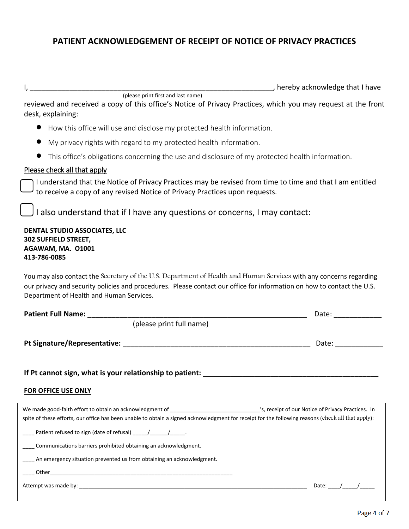# **PATIENT ACKNOWLEDGEMENT OF RECEIPT OF NOTICE OF PRIVACY PRACTICES**

D

e

D

I, the contract of the contract of the contract of the contract of the contract of the contract of the contract of the contract of the contract of the contract of the contract of the contract of the contract of the contrac

reviewed and received a copy of this office's Notice of Privacy Practices, which you may request at the front desk, explaining:

How this office will use and disclose my protected health information.

(please print first and last name)

- My privacy rights with regard to my protected health information.
- This office's obligations concerning the use and disclosure of my protected health information.

## Please check all that apply

I understand that the Notice of Privacy Practices may be revised from time to time and that I am entitled to receive a copy of any revised Notice of Privacy Practices upon requests.

I also understand that if I have any questions or concerns, I may contact:

#### **DENTAL STUDIO ASSOCIATES, LLC** : t **302 SUFFIELD STREET,**  \_ **AGAWAM, MA. O1001** \_ **413-786-0085** \_ .<br>., :

You may also contact the Secretary of the U.S. Department of Health and Human Services with any concerns regarding \_ \_ our privacy and security policies and procedures. Please contact our office for information on how to contact the U.S. \_ \_ Department of Health and Human Services. \_ \_

| <b>Patient Full Name:</b>                                                                                                                                                                                                                                                                         | Date: ________  |
|---------------------------------------------------------------------------------------------------------------------------------------------------------------------------------------------------------------------------------------------------------------------------------------------------|-----------------|
| (please print full name)                                                                                                                                                                                                                                                                          |                 |
|                                                                                                                                                                                                                                                                                                   | Date: _________ |
| If Pt cannot sign, what is your relationship to patient: Name of the cannot sign, what is your relationship to                                                                                                                                                                                    |                 |
| FOR OFFICE USE ONLY                                                                                                                                                                                                                                                                               |                 |
| We made good-faith effort to obtain an acknowledgment of ________________________________'s, receipt of our Notice of Privacy Practices. In<br>spite of these efforts, our office has been unable to obtain a signed acknowledgment for receipt for the following reasons (check all that apply): |                 |
| Patient refused to sign (date of refusal) _______________________.                                                                                                                                                                                                                                |                 |
| Communications barriers prohibited obtaining an acknowledgment.                                                                                                                                                                                                                                   |                 |
| An emergency situation prevented us from obtaining an acknowledgment.                                                                                                                                                                                                                             |                 |
|                                                                                                                                                                                                                                                                                                   |                 |
| Attempt was made by: the contract of the contract of the contract of the contract of the contract of the contract of the contract of the contract of the contract of the contract of the contract of the contract of the contr                                                                    | Date: /         |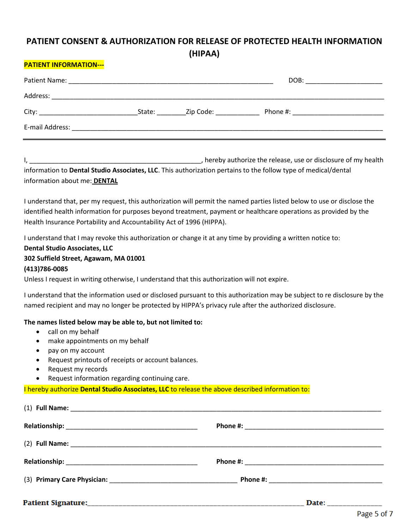# **PATIENT CONSENT & AUTHORIZATION FOR RELEASE OF PROTECTED HEALTH INFORMATION (HIPAA)**

### **PATIENT INFORMATION---**

| Patient Name:                                                                                                                           |        |           | DOB:                                                                                                                                                                                                                           |
|-----------------------------------------------------------------------------------------------------------------------------------------|--------|-----------|--------------------------------------------------------------------------------------------------------------------------------------------------------------------------------------------------------------------------------|
| Address:                                                                                                                                |        |           |                                                                                                                                                                                                                                |
|                                                                                                                                         | State: | Zip Code: | Phone #: the state of the state of the state of the state of the state of the state of the state of the state of the state of the state of the state of the state of the state of the state of the state of the state of the s |
| E-mail Address:<br><u> 1980 - Jan Barbarat, martin da shekara 1980 - An tsa a tsa a tsa a tsa a tsa a tsa a tsa a tsa a tsa a tsa a</u> |        |           |                                                                                                                                                                                                                                |

I, The contract the release, use or disclosure of my health in the release, use or disclosure of my health information to **Dental Studio Associates, LLC**. This authorization pertains to the follow type of medical/dental information about me: **DENTAL**

I understand that, per my request, this authorization will permit the named parties listed below to use or disclose the identified health information for purposes beyond treatment, payment or healthcare operations as provided by the Health Insurance Portability and Accountability Act of 1996 (HIPPA).

I understand that I may revoke this authorization or change it at any time by providing a written notice to:

# **Dental Studio Associates, LLC**

## **302 Suffield Street, Agawam, MA 01001**

#### **(413)786-0085**

Unless I request in writing otherwise, I understand that this authorization will not expire.

I understand that the information used or disclosed pursuant to this authorization may be subject to re disclosure by the named recipient and may no longer be protected by HIPPA's privacy rule after the authorized disclosure.

#### **The names listed below may be able to, but not limited to:**

- call on my behalf
- make appointments on my behalf
- pay on my account
- Request printouts of receipts or account balances.
- Request my records
- Request information regarding continuing care.

I hereby authorize **Dental Studio Associates, LLC** to release the above described information to:

| <b>Patient Signature:</b> | Date: |  |
|---------------------------|-------|--|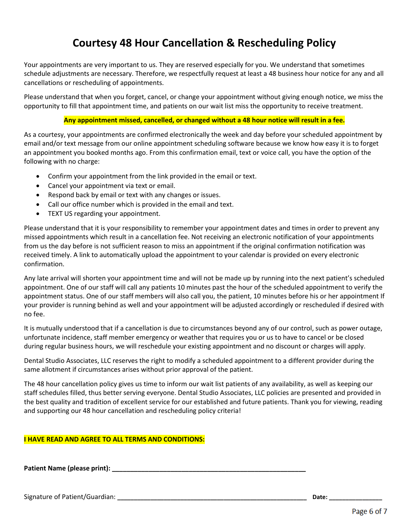# **Courtesy 48 Hour Cancellation & Rescheduling Policy**

Your appointments are very important to us. They are reserved especially for you. We understand that sometimes schedule adjustments are necessary. Therefore, we respectfully request at least a 48 business hour notice for any and all cancellations or rescheduling of appointments.

Please understand that when you forget, cancel, or change your appointment without giving enough notice, we miss the opportunity to fill that appointment time, and patients on our wait list miss the opportunity to receive treatment.

### **Any appointment missed, cancelled, or changed without a 48 hour notice will result in a fee.**

As a courtesy, your appointments are confirmed electronically the week and day before your scheduled appointment by email and/or text message from our online appointment scheduling software because we know how easy it is to forget an appointment you booked months ago. From this confirmation email, text or voice call, you have the option of the following with no charge:

- Confirm your appointment from the link provided in the email or text.
- Cancel your appointment via text or email.
- Respond back by email or text with any changes or issues.
- Call our office number which is provided in the email and text.
- **TEXT US regarding your appointment.**

Please understand that it is your responsibility to remember your appointment dates and times in order to prevent any missed appointments which result in a cancellation fee. Not receiving an electronic notification of your appointments from us the day before is not sufficient reason to miss an appointment if the original confirmation notification was received timely. A link to automatically upload the appointment to your calendar is provided on every electronic confirmation.

Any late arrival will shorten your appointment time and will not be made up by running into the next patient's scheduled appointment. One of our staff will call any patients 10 minutes past the hour of the scheduled appointment to verify the appointment status. One of our staff members will also call you, the patient, 10 minutes before his or her appointment If your provider is running behind as well and your appointment will be adjusted accordingly or rescheduled if desired with no fee.

It is mutually understood that if a cancellation is due to circumstances beyond any of our control, such as power outage, unfortunate incidence, staff member emergency or weather that requires you or us to have to cancel or be closed during regular business hours, we will reschedule your existing appointment and no discount or charges will apply.

Dental Studio Associates, LLC reserves the right to modify a scheduled appointment to a different provider during the same allotment if circumstances arises without prior approval of the patient.

The 48 hour cancellation policy gives us time to inform our wait list patients of any availability, as well as keeping our staff schedules filled, thus better serving everyone. Dental Studio Associates, LLC policies are presented and provided in the best quality and tradition of excellent service for our established and future patients. Thank you for viewing, reading and supporting our 48 hour cancellation and rescheduling policy criteria!

#### **I HAVE READ AND AGREE TO ALL TERMS AND CONDITIONS:**

**Patient Name (please print): \_\_\_\_\_\_\_\_\_\_\_\_\_\_\_\_\_\_\_\_\_\_\_\_\_\_\_\_\_\_\_\_\_\_\_\_\_\_\_\_\_\_\_\_\_\_\_\_\_\_\_\_\_**

Signature of Patient/Guardian: *Date:* **Date: Date: Date: Date: Date: Date: Date: Date: Date: Date: Date: Date: Date: Date: Date: Date: Date: Date: Date: Date: Date: Date: Date**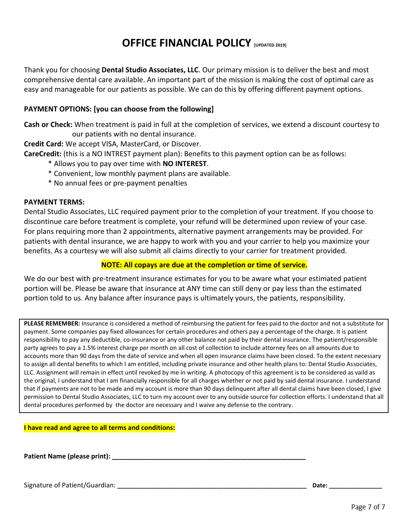# **OFFICE FINANCIAL POLICY [UPDATED 2019]**

Thank you for choosing **Dental Studio Associates, LLC**. Our primary mission is to deliver the best and most comprehensive dental care available. An important part of the mission is making the cost of optimal care as easy and manageable for our patients as possible. We can do this by offering different payment options.

## **PAYMENT OPTIONS: [you can choose from the following]**

**Cash or Check:** When treatment is paid in full at the completion of services, we extend a discount courtesy to our patients with no dental insurance.

**Credit Card:** We accept VISA, MasterCard, or Discover.

**CareCredit:** (this is a NO INTREST payment plan): Benefits to this payment option can be as follows:

- \* Allows you to pay over time with **NO INTEREST**.
- \* Convenient, low monthly payment plans are available.
- \* No annual fees or pre-payment penalties

## **PAYMENT TERMS:**

Dental Studio Associates, LLC required payment prior to the completion of your treatment. If you choose to discontinue care before treatment is complete, your refund will be determined upon review of your case. For plans requiring more than 2 appointments, alternative payment arrangements may be provided. For patients with dental insurance, we are happy to work with you and your carrier to help you maximize your benefits. As a courtesy we will also submit all claims directly to your carrier for treatment provided.

### **NOTE: All copays are due at the completion or time of service.**

We do our best with pre-treatment insurance estimates for you to be aware what your estimated patient portion will be. Please be aware that insurance at ANY time can still deny or pay less than the estimated portion told to us. Any balance after insurance pays is ultimately yours, the patients, responsibility.

**PLEASE REMEMBER:** Insurance is considered a method of reimbursing the patient for fees paid to the doctor and not a substitute for payment. Some companies pay fixed allowances for certain procedures and others pay a percentage of the charge. It is patient responsibility to pay any deductible, co-insurance or any other balance not paid by their dental insurance. The patient/responsible party agrees to pay a 1.5% interest charge per month on all cost of collection to include attorney fees on all amounts due to accounts more than 90 days from the date of service and when all open insurance claims have been closed. To the extent necessary to assign all dental benefits to which I am entitled, including private insurance and other health plans to: Dental Studio Associates, LLC. Assignment will remain in effect until revoked by me in writing. A photocopy of this agreement is to be considered as vaild as the original, I understand that I am financially responsible for all charges whether or not paid by said dental insurance. I understand that if payments are not to be made and my account is more than 90 days delinquent after all dental claims have been closed, I give permission to Dental Studio Associates, LLC to turn my account over to any outside source for collection efforts. I understand that all dental procedures performed by the doctor are necessary and I waive any defense to the contrary.

**I have read and agree to all terms and conditions:**

Patient Name (please print):

Signature of Patient/Guardian: **\_\_\_\_\_\_\_\_\_\_\_\_\_\_\_\_\_\_\_\_\_\_\_\_\_\_\_\_\_\_\_\_\_\_\_\_\_\_\_\_\_\_\_\_\_\_\_\_\_\_\_\_\_\_\_\_\_ Date: \_\_\_\_\_\_\_\_\_\_\_\_\_\_\_\_**